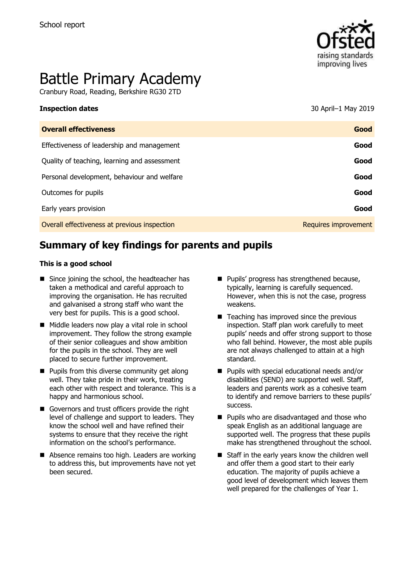

# Battle Primary Academy

Cranbury Road, Reading, Berkshire RG30 2TD

**Inspection dates** 30 April–1 May 2019

| <b>Overall effectiveness</b>                 | Good                 |
|----------------------------------------------|----------------------|
| Effectiveness of leadership and management   | Good                 |
| Quality of teaching, learning and assessment | Good                 |
| Personal development, behaviour and welfare  | Good                 |
| Outcomes for pupils                          | Good                 |
| Early years provision                        | Good                 |
| Overall effectiveness at previous inspection | Requires improvement |

# **Summary of key findings for parents and pupils**

#### **This is a good school**

- Since joining the school, the headteacher has taken a methodical and careful approach to improving the organisation. He has recruited and galvanised a strong staff who want the very best for pupils. This is a good school.
- Middle leaders now play a vital role in school improvement. They follow the strong example of their senior colleagues and show ambition for the pupils in the school. They are well placed to secure further improvement.
- **Pupils from this diverse community get along** well. They take pride in their work, treating each other with respect and tolerance. This is a happy and harmonious school.
- Governors and trust officers provide the right level of challenge and support to leaders. They know the school well and have refined their systems to ensure that they receive the right information on the school's performance.
- Absence remains too high. Leaders are working to address this, but improvements have not yet been secured.
- **Pupils' progress has strengthened because,** typically, learning is carefully sequenced. However, when this is not the case, progress weakens.
- $\blacksquare$  Teaching has improved since the previous inspection. Staff plan work carefully to meet pupils' needs and offer strong support to those who fall behind. However, the most able pupils are not always challenged to attain at a high standard.
- Pupils with special educational needs and/or disabilities (SEND) are supported well. Staff, leaders and parents work as a cohesive team to identify and remove barriers to these pupils' success.
- **Pupils who are disadvantaged and those who** speak English as an additional language are supported well. The progress that these pupils make has strengthened throughout the school.
- Staff in the early years know the children well and offer them a good start to their early education. The majority of pupils achieve a good level of development which leaves them well prepared for the challenges of Year 1.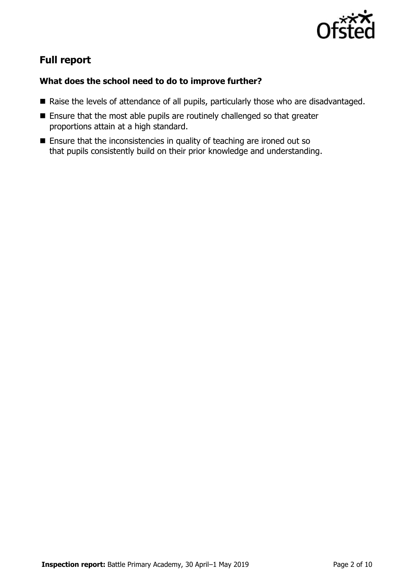

# **Full report**

### **What does the school need to do to improve further?**

- Raise the levels of attendance of all pupils, particularly those who are disadvantaged.
- Ensure that the most able pupils are routinely challenged so that greater proportions attain at a high standard.
- Ensure that the inconsistencies in quality of teaching are ironed out so that pupils consistently build on their prior knowledge and understanding.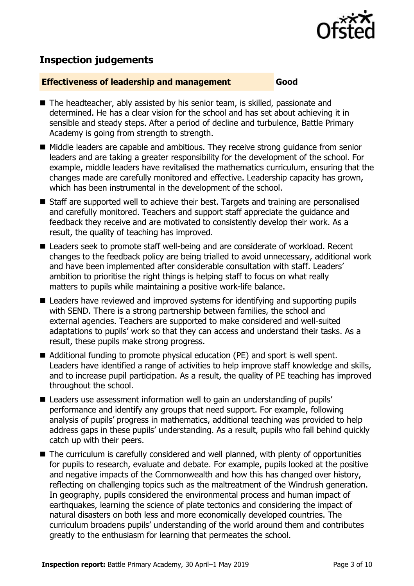

## **Inspection judgements**

#### **Effectiveness of leadership and management Good**

- The headteacher, ably assisted by his senior team, is skilled, passionate and determined. He has a clear vision for the school and has set about achieving it in sensible and steady steps. After a period of decline and turbulence, Battle Primary Academy is going from strength to strength.
- Middle leaders are capable and ambitious. They receive strong guidance from senior leaders and are taking a greater responsibility for the development of the school. For example, middle leaders have revitalised the mathematics curriculum, ensuring that the changes made are carefully monitored and effective. Leadership capacity has grown, which has been instrumental in the development of the school.
- Staff are supported well to achieve their best. Targets and training are personalised and carefully monitored. Teachers and support staff appreciate the guidance and feedback they receive and are motivated to consistently develop their work. As a result, the quality of teaching has improved.
- Leaders seek to promote staff well-being and are considerate of workload. Recent changes to the feedback policy are being trialled to avoid unnecessary, additional work and have been implemented after considerable consultation with staff. Leaders' ambition to prioritise the right things is helping staff to focus on what really matters to pupils while maintaining a positive work-life balance.
- Leaders have reviewed and improved systems for identifying and supporting pupils with SEND. There is a strong partnership between families, the school and external agencies. Teachers are supported to make considered and well-suited adaptations to pupils' work so that they can access and understand their tasks. As a result, these pupils make strong progress.
- Additional funding to promote physical education (PE) and sport is well spent. Leaders have identified a range of activities to help improve staff knowledge and skills, and to increase pupil participation. As a result, the quality of PE teaching has improved throughout the school.
- Leaders use assessment information well to gain an understanding of pupils' performance and identify any groups that need support. For example, following analysis of pupils' progress in mathematics, additional teaching was provided to help address gaps in these pupils' understanding. As a result, pupils who fall behind quickly catch up with their peers.
- The curriculum is carefully considered and well planned, with plenty of opportunities for pupils to research, evaluate and debate. For example, pupils looked at the positive and negative impacts of the Commonwealth and how this has changed over history, reflecting on challenging topics such as the maltreatment of the Windrush generation. In geography, pupils considered the environmental process and human impact of earthquakes, learning the science of plate tectonics and considering the impact of natural disasters on both less and more economically developed countries. The curriculum broadens pupils' understanding of the world around them and contributes greatly to the enthusiasm for learning that permeates the school.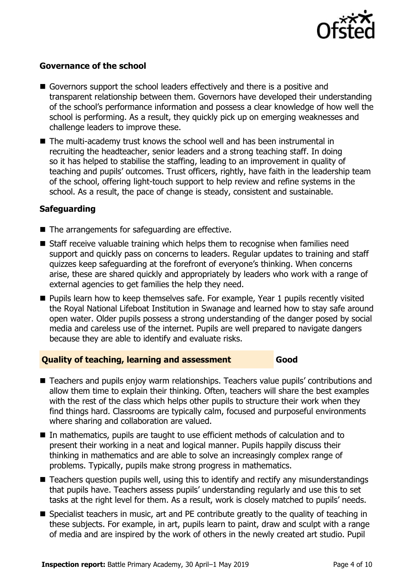

### **Governance of the school**

- Governors support the school leaders effectively and there is a positive and transparent relationship between them. Governors have developed their understanding of the school's performance information and possess a clear knowledge of how well the school is performing. As a result, they quickly pick up on emerging weaknesses and challenge leaders to improve these.
- The multi-academy trust knows the school well and has been instrumental in recruiting the headteacher, senior leaders and a strong teaching staff. In doing so it has helped to stabilise the staffing, leading to an improvement in quality of teaching and pupils' outcomes. Trust officers, rightly, have faith in the leadership team of the school, offering light-touch support to help review and refine systems in the school. As a result, the pace of change is steady, consistent and sustainable.

#### **Safeguarding**

- The arrangements for safeguarding are effective.
- Staff receive valuable training which helps them to recognise when families need support and quickly pass on concerns to leaders. Regular updates to training and staff quizzes keep safeguarding at the forefront of everyone's thinking. When concerns arise, these are shared quickly and appropriately by leaders who work with a range of external agencies to get families the help they need.
- **Pupils learn how to keep themselves safe. For example, Year 1 pupils recently visited** the Royal National Lifeboat Institution in Swanage and learned how to stay safe around open water. Older pupils possess a strong understanding of the danger posed by social media and careless use of the internet. Pupils are well prepared to navigate dangers because they are able to identify and evaluate risks.

#### **Quality of teaching, learning and assessment Good**

- Teachers and pupils enjoy warm relationships. Teachers value pupils' contributions and allow them time to explain their thinking. Often, teachers will share the best examples with the rest of the class which helps other pupils to structure their work when they find things hard. Classrooms are typically calm, focused and purposeful environments where sharing and collaboration are valued.
- In mathematics, pupils are taught to use efficient methods of calculation and to present their working in a neat and logical manner. Pupils happily discuss their thinking in mathematics and are able to solve an increasingly complex range of problems. Typically, pupils make strong progress in mathematics.
- Teachers question pupils well, using this to identify and rectify any misunderstandings that pupils have. Teachers assess pupils' understanding regularly and use this to set tasks at the right level for them. As a result, work is closely matched to pupils' needs.
- Specialist teachers in music, art and PE contribute greatly to the quality of teaching in these subjects. For example, in art, pupils learn to paint, draw and sculpt with a range of media and are inspired by the work of others in the newly created art studio. Pupil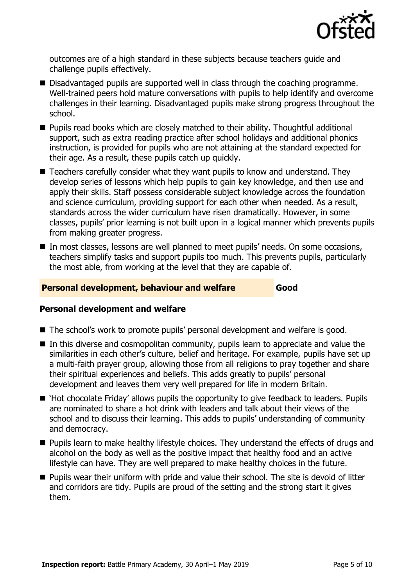

outcomes are of a high standard in these subjects because teachers guide and challenge pupils effectively.

- Disadvantaged pupils are supported well in class through the coaching programme. Well-trained peers hold mature conversations with pupils to help identify and overcome challenges in their learning. Disadvantaged pupils make strong progress throughout the school.
- Pupils read books which are closely matched to their ability. Thoughtful additional support, such as extra reading practice after school holidays and additional phonics instruction, is provided for pupils who are not attaining at the standard expected for their age. As a result, these pupils catch up quickly.
- Teachers carefully consider what they want pupils to know and understand. They develop series of lessons which help pupils to gain key knowledge, and then use and apply their skills. Staff possess considerable subject knowledge across the foundation and science curriculum, providing support for each other when needed. As a result, standards across the wider curriculum have risen dramatically. However, in some classes, pupils' prior learning is not built upon in a logical manner which prevents pupils from making greater progress.
- In most classes, lessons are well planned to meet pupils' needs. On some occasions, teachers simplify tasks and support pupils too much. This prevents pupils, particularly the most able, from working at the level that they are capable of.

#### **Personal development, behaviour and welfare Good**

#### **Personal development and welfare**

- The school's work to promote pupils' personal development and welfare is good.
- In this diverse and cosmopolitan community, pupils learn to appreciate and value the similarities in each other's culture, belief and heritage. For example, pupils have set up a multi-faith prayer group, allowing those from all religions to pray together and share their spiritual experiences and beliefs. This adds greatly to pupils' personal development and leaves them very well prepared for life in modern Britain.
- 'Hot chocolate Friday' allows pupils the opportunity to give feedback to leaders. Pupils are nominated to share a hot drink with leaders and talk about their views of the school and to discuss their learning. This adds to pupils' understanding of community and democracy.
- **Pupils learn to make healthy lifestyle choices. They understand the effects of drugs and** alcohol on the body as well as the positive impact that healthy food and an active lifestyle can have. They are well prepared to make healthy choices in the future.
- **Pupils wear their uniform with pride and value their school. The site is devoid of litter** and corridors are tidy. Pupils are proud of the setting and the strong start it gives them.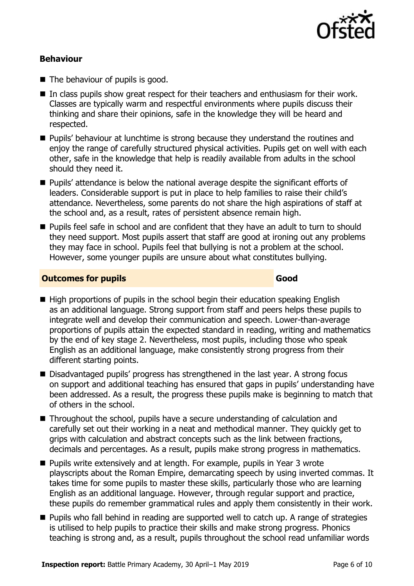

#### **Behaviour**

- The behaviour of pupils is good.
- In class pupils show great respect for their teachers and enthusiasm for their work. Classes are typically warm and respectful environments where pupils discuss their thinking and share their opinions, safe in the knowledge they will be heard and respected.
- **Pupils' behaviour at lunchtime is strong because they understand the routines and** enjoy the range of carefully structured physical activities. Pupils get on well with each other, safe in the knowledge that help is readily available from adults in the school should they need it.
- Pupils' attendance is below the national average despite the significant efforts of leaders. Considerable support is put in place to help families to raise their child's attendance. Nevertheless, some parents do not share the high aspirations of staff at the school and, as a result, rates of persistent absence remain high.
- **Pupils feel safe in school and are confident that they have an adult to turn to should** they need support. Most pupils assert that staff are good at ironing out any problems they may face in school. Pupils feel that bullying is not a problem at the school. However, some younger pupils are unsure about what constitutes bullying.

#### **Outcomes for pupils Good**

- $\blacksquare$  High proportions of pupils in the school begin their education speaking English as an additional language. Strong support from staff and peers helps these pupils to integrate well and develop their communication and speech. Lower-than-average proportions of pupils attain the expected standard in reading, writing and mathematics by the end of key stage 2. Nevertheless, most pupils, including those who speak English as an additional language, make consistently strong progress from their different starting points.
- Disadvantaged pupils' progress has strengthened in the last year. A strong focus on support and additional teaching has ensured that gaps in pupils' understanding have been addressed. As a result, the progress these pupils make is beginning to match that of others in the school.
- Throughout the school, pupils have a secure understanding of calculation and carefully set out their working in a neat and methodical manner. They quickly get to grips with calculation and abstract concepts such as the link between fractions, decimals and percentages. As a result, pupils make strong progress in mathematics.
- **Pupils write extensively and at length. For example, pupils in Year 3 wrote** playscripts about the Roman Empire, demarcating speech by using inverted commas. It takes time for some pupils to master these skills, particularly those who are learning English as an additional language. However, through regular support and practice, these pupils do remember grammatical rules and apply them consistently in their work.
- **Pupils who fall behind in reading are supported well to catch up. A range of strategies** is utilised to help pupils to practice their skills and make strong progress. Phonics teaching is strong and, as a result, pupils throughout the school read unfamiliar words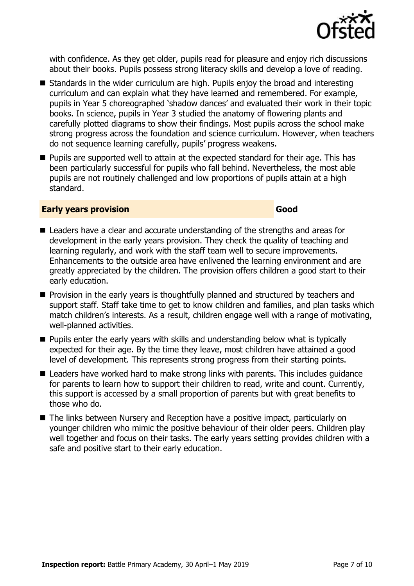

with confidence. As they get older, pupils read for pleasure and enjoy rich discussions about their books. Pupils possess strong literacy skills and develop a love of reading.

- Standards in the wider curriculum are high. Pupils enjoy the broad and interesting curriculum and can explain what they have learned and remembered. For example, pupils in Year 5 choreographed 'shadow dances' and evaluated their work in their topic books. In science, pupils in Year 3 studied the anatomy of flowering plants and carefully plotted diagrams to show their findings. Most pupils across the school make strong progress across the foundation and science curriculum. However, when teachers do not sequence learning carefully, pupils' progress weakens.
- **Pupils are supported well to attain at the expected standard for their age. This has** been particularly successful for pupils who fall behind. Nevertheless, the most able pupils are not routinely challenged and low proportions of pupils attain at a high standard.

#### **Early years provision Good Good**

- Leaders have a clear and accurate understanding of the strengths and areas for development in the early years provision. They check the quality of teaching and learning regularly, and work with the staff team well to secure improvements. Enhancements to the outside area have enlivened the learning environment and are greatly appreciated by the children. The provision offers children a good start to their early education.
- **Provision in the early years is thoughtfully planned and structured by teachers and** support staff. Staff take time to get to know children and families, and plan tasks which match children's interests. As a result, children engage well with a range of motivating, well-planned activities.
- **Pupils enter the early years with skills and understanding below what is typically** expected for their age. By the time they leave, most children have attained a good level of development. This represents strong progress from their starting points.
- Leaders have worked hard to make strong links with parents. This includes quidance for parents to learn how to support their children to read, write and count. Currently, this support is accessed by a small proportion of parents but with great benefits to those who do.
- The links between Nursery and Reception have a positive impact, particularly on younger children who mimic the positive behaviour of their older peers. Children play well together and focus on their tasks. The early years setting provides children with a safe and positive start to their early education.

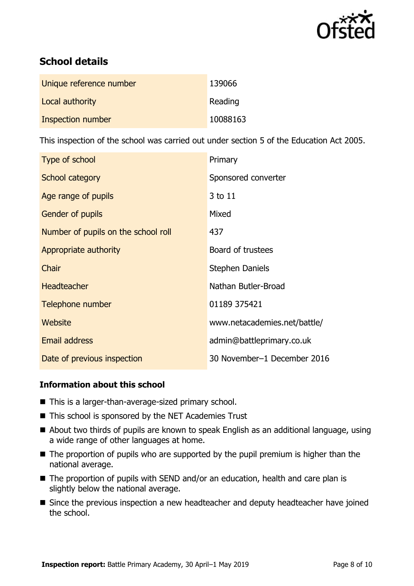

# **School details**

| Unique reference number | 139066   |
|-------------------------|----------|
| Local authority         | Reading  |
| Inspection number       | 10088163 |

This inspection of the school was carried out under section 5 of the Education Act 2005.

| Type of school                      | Primary                      |
|-------------------------------------|------------------------------|
| School category                     | Sponsored converter          |
| Age range of pupils                 | 3 to 11                      |
| <b>Gender of pupils</b>             | Mixed                        |
| Number of pupils on the school roll | 437                          |
| Appropriate authority               | Board of trustees            |
| Chair                               | <b>Stephen Daniels</b>       |
| <b>Headteacher</b>                  | Nathan Butler-Broad          |
| Telephone number                    | 01189 375421                 |
| Website                             | www.netacademies.net/battle/ |
| <b>Email address</b>                | admin@battleprimary.co.uk    |
| Date of previous inspection         | 30 November-1 December 2016  |

#### **Information about this school**

- This is a larger-than-average-sized primary school.
- This school is sponsored by the NET Academies Trust
- About two thirds of pupils are known to speak English as an additional language, using a wide range of other languages at home.
- The proportion of pupils who are supported by the pupil premium is higher than the national average.
- The proportion of pupils with SEND and/or an education, health and care plan is slightly below the national average.
- **Since the previous inspection a new headteacher and deputy headteacher have joined** the school.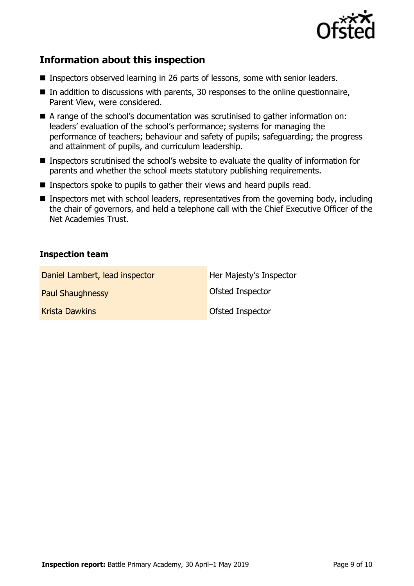

# **Information about this inspection**

- Inspectors observed learning in 26 parts of lessons, some with senior leaders.
- $\blacksquare$  In addition to discussions with parents, 30 responses to the online questionnaire, Parent View, were considered.
- A range of the school's documentation was scrutinised to gather information on: leaders' evaluation of the school's performance; systems for managing the performance of teachers; behaviour and safety of pupils; safeguarding; the progress and attainment of pupils, and curriculum leadership.
- Inspectors scrutinised the school's website to evaluate the quality of information for parents and whether the school meets statutory publishing requirements.
- Inspectors spoke to pupils to gather their views and heard pupils read.
- Inspectors met with school leaders, representatives from the governing body, including the chair of governors, and held a telephone call with the Chief Executive Officer of the Net Academies Trust.

#### **Inspection team**

| Daniel Lambert, lead inspector | Her Majesty's Inspector |
|--------------------------------|-------------------------|
| <b>Paul Shaughnessy</b>        | <b>Ofsted Inspector</b> |
| <b>Krista Dawkins</b>          | <b>Ofsted Inspector</b> |